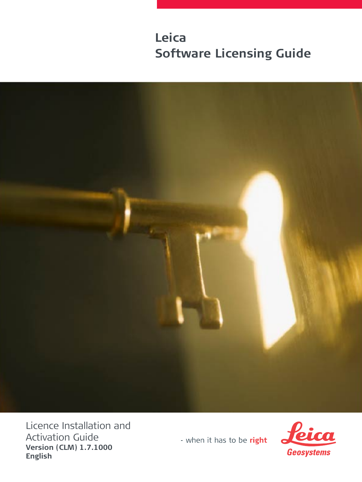# **Leica Software Licensing Guide**



Licence Installation and Activation Guide **Version (CLM) 1.7.1000 English**

- when it has to be right

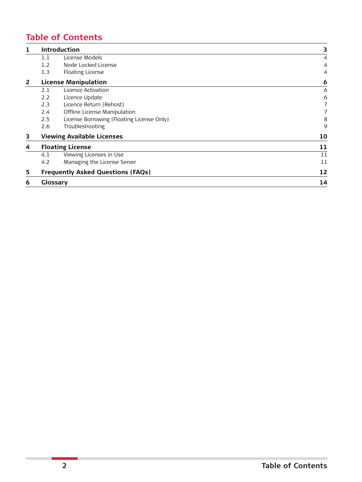# **Table of Contents**

| 1                    |                                   | Introduction                              | 3  |  |
|----------------------|-----------------------------------|-------------------------------------------|----|--|
|                      | 1.1                               | License Models                            | 4  |  |
|                      | 1.2                               | Node Locked License                       | 4  |  |
|                      | 1.3                               | Floating License                          | 4  |  |
| $\overline{2}$       |                                   | <b>License Manipulation</b>               | 6  |  |
|                      | 2.1                               | Licence Activation                        | 6  |  |
|                      | 2.2                               | Licence Update                            | 6  |  |
|                      | 2.3                               | Licence Return (Rehost)                   | 7  |  |
|                      | 2.4                               | Offline License Manipulation              | 7  |  |
|                      | 2.5                               | License Borrowing (Floating License Only) | 8  |  |
|                      | 2.6                               | Troubleshooting                           | 9  |  |
| 3                    | <b>Viewing Available Licenses</b> |                                           |    |  |
| 4                    |                                   | <b>Floating License</b>                   | 11 |  |
|                      | 4.1                               | Viewing Licenses in Use                   | 11 |  |
|                      | 4.2                               | Managing the License Server               | 11 |  |
| 5                    |                                   | <b>Frequently Asked Questions (FAQs)</b>  | 12 |  |
| 6<br><b>Glossary</b> |                                   |                                           |    |  |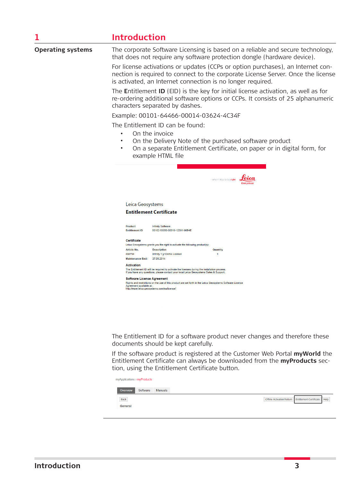# <span id="page-2-0"></span>**1 Introduction**

|                          | 11                                                                                                                                                                                                                                     |
|--------------------------|----------------------------------------------------------------------------------------------------------------------------------------------------------------------------------------------------------------------------------------|
| <b>Operating systems</b> | The corporate Software Licensing is based on a reliable and secure technology,<br>that does not require any software protection dongle (hardware device).                                                                              |
|                          | For license activations or updates (CCPs or option purchases), an Internet con-<br>nection is required to connect to the corporate License Server. Once the license<br>is activated, an Internet connection is no longer required.     |
|                          | The <b>Entitlement ID</b> (EID) is the key for initial license activation, as well as for<br>re-ordering additional software options or CCPs. It consists of 25 alphanumeric<br>characters separated by dashes.                        |
|                          | Example: 00101-64466-00014-03624-4C34F                                                                                                                                                                                                 |
|                          | The Entitlement ID can be found:<br>On the invoice<br>$\bullet$<br>On the Delivery Note of the purchased software product<br>On a separate Entitlement Certificate, on paper or in digital form, for<br>$\bullet$<br>example HTML file |
|                          | - when it has to be right                                                                                                                                                                                                              |
|                          | Leica Geosystems<br><b>Entitlement Certificate</b>                                                                                                                                                                                     |

Product<br>Entitlement ID Infinity Software<br>00102-53059-00019-12391-96B4E **Certificate** Leica Geosystems grants you the right to activate the following product(s): Article No. Description Quantity 808798 Infinity 1 yr Demo Licence  $\mathbf{1}$ Maintenance End: 27.05.2014 **Activation** The Entitlement ID will be required to activate the licenses during the installation process.<br>If you have any questions, please contact your local Leica Geosystems Sales & Support. Software License Agreement Continued and restrictions on the use of this product are set forth in the Leica Geosystems Software License<br>Agreement available at:<br>http://www.leica-geosystems.com/swilcense/

The Entitlement ID for a software product never changes and therefore these documents should be kept carefully.

If the software product is registered at the Customer Web Portal **myWorld** the Entitlement Certificate can always be downloaded from the **myProducts** section, using the Entitlement Certificate button.

|          | myApplications > myProducts |         |                                                        |  |
|----------|-----------------------------|---------|--------------------------------------------------------|--|
| Overview | Software                    | Manuals |                                                        |  |
| Back     |                             |         | Offline Activation/Return Entitlement Certificate Help |  |
| General  |                             |         |                                                        |  |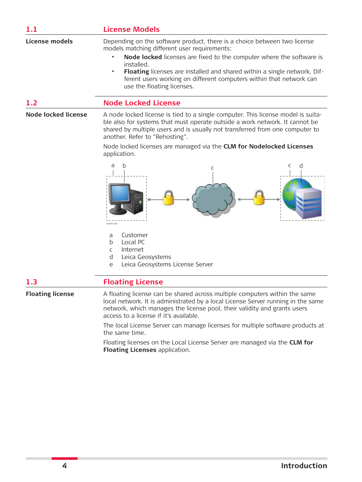<span id="page-3-0"></span>

| 1.1                   | <b>License Models</b>                                                                                                                                                                                                                                                                                                                                                                                                                      |  |  |  |  |
|-----------------------|--------------------------------------------------------------------------------------------------------------------------------------------------------------------------------------------------------------------------------------------------------------------------------------------------------------------------------------------------------------------------------------------------------------------------------------------|--|--|--|--|
| <b>License models</b> | Depending on the software product, there is a choice between two license<br>models matching different user requirements:<br>Node locked licenses are fixed to the computer where the software is<br>installed.<br>Floating licenses are installed and shared within a single network. Dif-<br>$\bullet$<br>ferent users working on different computers within that network can<br>use the floating licenses.<br><b>Node Locked License</b> |  |  |  |  |
| 1.2                   |                                                                                                                                                                                                                                                                                                                                                                                                                                            |  |  |  |  |
| Node locked license   | A node locked license is tied to a single computer. This license model is suita-<br>ble also for systems that must operate outside a work network. It cannot be<br>shared by multiple users and is usually not transferred from one computer to<br>another. Refer to "Rehosting".<br>Node locked licenses are managed via the CLM for Nodelocked Licenses<br>application.                                                                  |  |  |  |  |
|                       | C<br>d<br>а<br>D<br>C<br>016694 001                                                                                                                                                                                                                                                                                                                                                                                                        |  |  |  |  |
|                       | Customer<br>a<br>Local PC<br>b.<br>Internet<br>C<br>Leica Geosystems<br>d<br>Leica Geosystems License Server<br>e                                                                                                                                                                                                                                                                                                                          |  |  |  |  |

## **1.3 Floating License**

A floating license can be shared across multiple computers within the same local network. It is administrated by a local License Server running in the same network, which manages the license pool, their validity and grants users access to a license if it's available. **Floating license**

> The local License Server can manage licenses for multiple software products at the same time.

Floating licenses on the Local License Server are managed via the **CLM for Floating Licenses** application.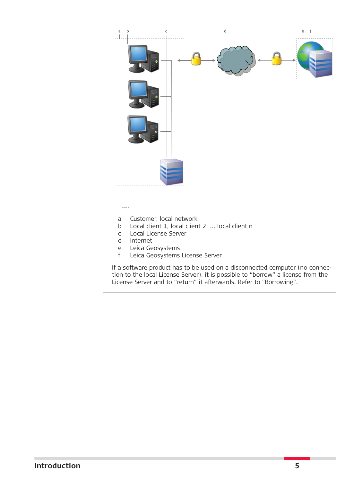

016695\_001

- a Customer, local network
- b Local client 1, local client 2, ... local client n
- c Local License Server
- d Internet
- e Leica Geosystems<br>f Leica Geosystems
- Leica Geosystems License Server

If a software product has to be used on a disconnected computer (no connection to the local License Server), it is possible to "borrow" a license from the License Server and to "return" it afterwards. Refer to ["Borrowing"](#page-13-0).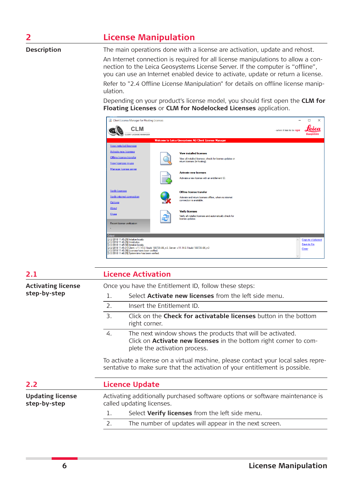#### <span id="page-5-0"></span>**2 License Manipulation Description** The main operations done with a license are activation, update and rehost. An Internet connection is required for all license manipulations to allow a connection to the Leica Geosystems License Server. If the computer is "offline", you can use an Internet enabled device to activate, update or return a license. Refer to ["2.4 Offline License Manipulation"](#page-6-0) for details on offline license manipulation. Depending on your product's license model, you should first open the **CLM for Floating Licenses** or **CLM for Nodelocked Licenses** application. Client License Manager for Floating Licenses  $\Box$  $\times$ Leica **CLM**  $\sigma_{\theta}$ when it has to be right CLIENT LICENSE MANAGEL View installed licenses Activate new licenses **View installed licenses** Offline license transfer View all installed licenses, check for license updates or<br>retum licenses (re-hosting). View licences in use Manage license server **Activate new licenses** Activate a new license with an entitlement ID. Verify licenses Offline license transfer Verify internet connection Activate and return licenses offline, when no internet<br>connection is available. Options About **Verify licenses** <u>Close</u> Verify all installed licenses and automatically check for<br>license updates.

Recent license verification

utnut.

| 2.1                                     | <b>Licence Activation</b>                                                                                                                                         |                                                                                                                                                                         |  |  |  |
|-----------------------------------------|-------------------------------------------------------------------------------------------------------------------------------------------------------------------|-------------------------------------------------------------------------------------------------------------------------------------------------------------------------|--|--|--|
| <b>Activating license</b>               | Once you have the Entitlement ID, follow these steps:                                                                                                             |                                                                                                                                                                         |  |  |  |
| step-by-step                            | 1.                                                                                                                                                                | Select <b>Activate new licenses</b> from the left side menu.                                                                                                            |  |  |  |
|                                         | 2.                                                                                                                                                                | Insert the Entitlement ID.                                                                                                                                              |  |  |  |
|                                         | $\overline{3}$ .                                                                                                                                                  | Click on the <b>Check for activatable licenses</b> button in the bottom<br>right corner.                                                                                |  |  |  |
|                                         | 4.                                                                                                                                                                | The next window shows the products that will be activated.<br>Click on <b>Activate new licenses</b> in the bottom right corner to com-<br>plete the activation process. |  |  |  |
|                                         | To activate a license on a virtual machine, please contact your local sales repre-<br>sentative to make sure that the activation of your entitlement is possible. |                                                                                                                                                                         |  |  |  |
| 2.2                                     |                                                                                                                                                                   | <b>Licence Update</b>                                                                                                                                                   |  |  |  |
| <b>Updating license</b><br>step-by-step | Activating additionally purchased software options or software maintenance is<br>called updating licenses.                                                        |                                                                                                                                                                         |  |  |  |
|                                         | 1.                                                                                                                                                                | Select Verify licenses from the left side menu.                                                                                                                         |  |  |  |
|                                         | 2.                                                                                                                                                                | The number of updates will appear in the next screen.                                                                                                                   |  |  |  |
|                                         |                                                                                                                                                                   |                                                                                                                                                                         |  |  |  |

Jutus<br>22/2018 11:45:29 Initialize locally<br>22/2018 11:45:39 Unitialize locally<br>22/2018 11:45:31 Olinitatize locally<br>22/2018 11:45:31 Ocenese have been verified.<br>2/2/2018 11:46:29 System time has been verified.<br>2/2/2018 11:4

Copy to clipboard Save to file Clear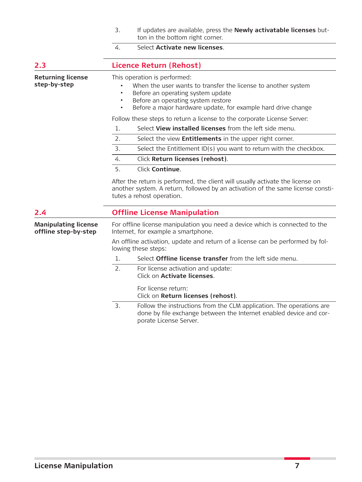<span id="page-6-0"></span>

|                                                     | 3.<br>If updates are available, press the Newly activatable licenses but-<br>ton in the bottom right corner.                                                                                                                                                                     |  |  |  |  |
|-----------------------------------------------------|----------------------------------------------------------------------------------------------------------------------------------------------------------------------------------------------------------------------------------------------------------------------------------|--|--|--|--|
|                                                     | 4.<br>Select Activate new licenses.                                                                                                                                                                                                                                              |  |  |  |  |
| 2.3                                                 | <b>Licence Return (Rehost)</b>                                                                                                                                                                                                                                                   |  |  |  |  |
| <b>Returning license</b><br>step-by-step            | This operation is performed:<br>When the user wants to transfer the license to another system<br>Before an operating system update<br>$\bullet$<br>Before an operating system restore<br>$\bullet$<br>Before a major hardware update, for example hard drive change<br>$\bullet$ |  |  |  |  |
|                                                     | Follow these steps to return a license to the corporate License Server:                                                                                                                                                                                                          |  |  |  |  |
|                                                     | Select View installed licenses from the left side menu.<br>$\mathbf{1}$ .                                                                                                                                                                                                        |  |  |  |  |
|                                                     | 2.<br>Select the view Entitlements in the upper right corner.                                                                                                                                                                                                                    |  |  |  |  |
|                                                     | 3.<br>Select the Entitlement ID(s) you want to return with the checkbox.                                                                                                                                                                                                         |  |  |  |  |
|                                                     | 4.<br>Click Return licenses (rehost).                                                                                                                                                                                                                                            |  |  |  |  |
|                                                     | 5.<br>Click Continue.                                                                                                                                                                                                                                                            |  |  |  |  |
|                                                     | After the return is performed, the client will usually activate the license on<br>another system. A return, followed by an activation of the same license consti-<br>tutes a rehost operation.                                                                                   |  |  |  |  |
| 2.4                                                 | <b>Offline License Manipulation</b>                                                                                                                                                                                                                                              |  |  |  |  |
| <b>Manipulating license</b><br>offline step-by-step | For offline license manipulation you need a device which is connected to the<br>Internet, for example a smartphone.                                                                                                                                                              |  |  |  |  |
|                                                     | An offline activation, update and return of a license can be performed by fol-<br>lowing these steps:                                                                                                                                                                            |  |  |  |  |
|                                                     | Select Offline license transfer from the left side menu.<br>1.                                                                                                                                                                                                                   |  |  |  |  |
|                                                     | 2.<br>For license activation and update:<br>Click on <b>Activate licenses</b> .                                                                                                                                                                                                  |  |  |  |  |
|                                                     | For license return:<br>Click on Return licenses (rehost).                                                                                                                                                                                                                        |  |  |  |  |
|                                                     | $\overline{3}$ .<br>Follow the instructions from the CLM application. The operations are<br>done by file exchange between the Internet enabled device and cor-<br>porate License Server.                                                                                         |  |  |  |  |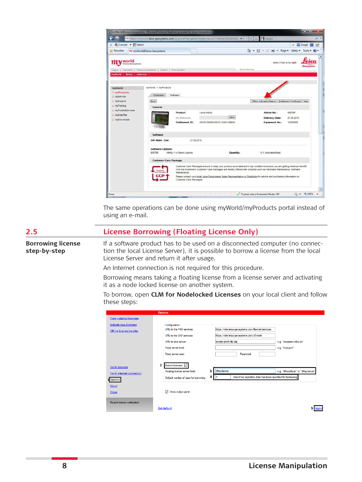<span id="page-7-0"></span>

The same operations can be done using myWorld/myProducts portal instead of using an e-mail.

## **2.5 License Borrowing (Floating License Only)** If a software product has to be used on a disconnected computer (no connection the local License Server), it is possible to borrow a license from the local License Server and return it after usage. **Borrowing license step-by-step**

An Internet connection is not required for this procedure.

Borrowing means taking a floating license from a license server and activating it as a node locked license on another system.

To borrow, open **CLM for Nodelocked Licenses** on your local client and follow these steps:

|                                | <b>Options</b>                                                                                             |
|--------------------------------|------------------------------------------------------------------------------------------------------------|
| <b>View installed licenses</b> |                                                                                                            |
| Activate new licenses          | Configuration                                                                                              |
| Offline license transfer       | URL to the FNO services:<br>https://clm.leica-geosystems.com/flexnet/services                              |
|                                | https://clm.leica-geosystems.com/zfnoclm<br>URL to the SAP services:                                       |
|                                | europe.pool.ntp.org<br>URL to time server:<br>e.g. "swisstime.ethz.ch"                                     |
|                                | e.g. "host:port"<br>Proxy server host:                                                                     |
|                                | Password:<br>Proxy server user:                                                                            |
| <b>Verify licenses</b>         | 2<br>Borrow licenses V                                                                                     |
| Verify internet connection     | @myServer<br>3<br>e.g. "@localhost" or "@myServer"<br>Floating license server host:                        |
| <b>1</b> Options               | 4<br>Used if no expiration date has been specified for borrowing.<br>Default number of days for borrowing: |
| About                          |                                                                                                            |
| <b>Close</b>                   | $\sqrt{\phantom{a}}$ Show output pane                                                                      |
|                                |                                                                                                            |
| Recent license verification:   |                                                                                                            |
|                                | Set default                                                                                                |
|                                |                                                                                                            |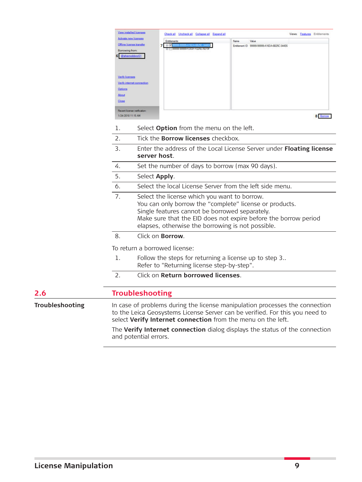<span id="page-8-0"></span>

|                                                                                                                                            | View installed licenses                                                                                                                                                                                                                                                                                                              |                        | Check all Uncheck all Collapse all Expand all                                                                                                       |  |                                                                                                                            | Views: Features Entitlements |          |
|--------------------------------------------------------------------------------------------------------------------------------------------|--------------------------------------------------------------------------------------------------------------------------------------------------------------------------------------------------------------------------------------------------------------------------------------------------------------------------------------|------------------------|-----------------------------------------------------------------------------------------------------------------------------------------------------|--|----------------------------------------------------------------------------------------------------------------------------|------------------------------|----------|
|                                                                                                                                            | <b>Activate new licenses</b><br>Offline license transfer                                                                                                                                                                                                                                                                             |                        | Enttlements<br>7 0 2 9999-59999-A16DA-6B<br>SSSSS-SSSSS+DSSP-FUZAE-                                                                                 |  | Name<br>Value<br>Entitlement ID 99999-99999-A16DA-6B25C-344E6                                                              |                              |          |
|                                                                                                                                            | Borrowing from:<br>@ahemobbror01<br>Verify licenses<br>Verify internet connection<br>Options<br>About<br>Close                                                                                                                                                                                                                       |                        |                                                                                                                                                     |  |                                                                                                                            |                              |          |
|                                                                                                                                            | Recent Icense verfication<br>1/24/2018 11:15 AM                                                                                                                                                                                                                                                                                      |                        |                                                                                                                                                     |  |                                                                                                                            |                              | 8 Borrow |
|                                                                                                                                            | 1.                                                                                                                                                                                                                                                                                                                                   |                        | Select Option from the menu on the left.                                                                                                            |  |                                                                                                                            |                              |          |
|                                                                                                                                            | 2.                                                                                                                                                                                                                                                                                                                                   |                        | Tick the <b>Borrow licenses</b> checkbox.                                                                                                           |  |                                                                                                                            |                              |          |
|                                                                                                                                            | $\overline{3}$ .                                                                                                                                                                                                                                                                                                                     | server host.           | Enter the address of the Local License Server under Floating license                                                                                |  |                                                                                                                            |                              |          |
|                                                                                                                                            | 4.<br>5.<br>6.<br>7.<br>8.                                                                                                                                                                                                                                                                                                           |                        | Set the number of days to borrow (max 90 days).                                                                                                     |  |                                                                                                                            |                              |          |
|                                                                                                                                            |                                                                                                                                                                                                                                                                                                                                      |                        | Select Apply.<br>Select the local License Server from the left side menu.                                                                           |  |                                                                                                                            |                              |          |
|                                                                                                                                            |                                                                                                                                                                                                                                                                                                                                      |                        |                                                                                                                                                     |  |                                                                                                                            |                              |          |
|                                                                                                                                            |                                                                                                                                                                                                                                                                                                                                      |                        | Select the license which you want to borrow.<br>Single features cannot be borrowed separately.<br>elapses, otherwise the borrowing is not possible. |  | You can only borrow the "complete" license or products.<br>Make sure that the EID does not expire before the borrow period |                              |          |
|                                                                                                                                            |                                                                                                                                                                                                                                                                                                                                      |                        | Click on <b>Borrow</b> .                                                                                                                            |  |                                                                                                                            |                              |          |
| To return a borrowed license:<br>Follow the steps for returning a license up to step 3<br>1.<br>Refer to "Returning license step-by-step". |                                                                                                                                                                                                                                                                                                                                      |                        |                                                                                                                                                     |  |                                                                                                                            |                              |          |
|                                                                                                                                            |                                                                                                                                                                                                                                                                                                                                      |                        |                                                                                                                                                     |  |                                                                                                                            |                              |          |
|                                                                                                                                            | 2.                                                                                                                                                                                                                                                                                                                                   |                        | Click on Return borrowed licenses.                                                                                                                  |  |                                                                                                                            |                              |          |
| 2.6                                                                                                                                        |                                                                                                                                                                                                                                                                                                                                      | <b>Troubleshooting</b> |                                                                                                                                                     |  |                                                                                                                            |                              |          |
| Troubleshooting                                                                                                                            | In case of problems during the license manipulation processes the connection<br>to the Leica Geosystems License Server can be verified. For this you need to<br>select Verify Internet connection from the menu on the left.<br>The Verify Internet connection dialog displays the status of the connection<br>and potential errors. |                        |                                                                                                                                                     |  |                                                                                                                            |                              |          |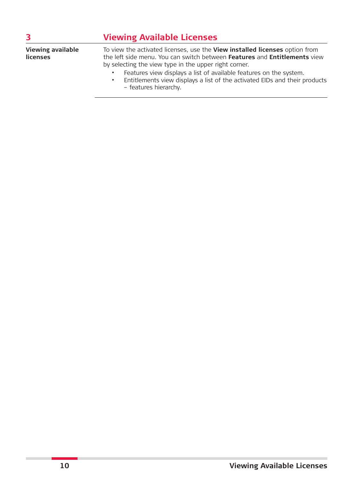### <span id="page-9-0"></span>**3 Viewing Available Licenses** To view the activated licenses, use the **View installed licenses** option from the left side menu. You can switch between **Features** and **Entitlements** view by selecting the view type in the upper right corner. • Features view displays a list of available features on the system.<br>• Fortitlements view displays a list of the activated FIDs and their p • Entitlements view displays a list of the activated EIDs and their products **Viewing available licenses**

– features hierarchy.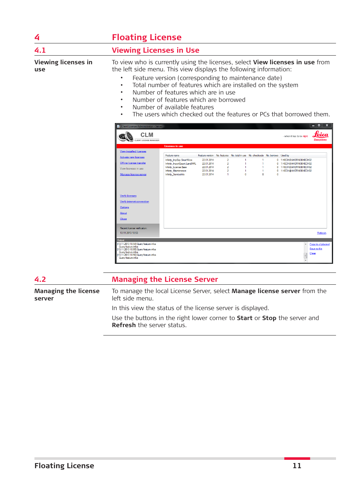<span id="page-10-0"></span>

| <b>Floating License</b><br>4      |                                                                                                                                                                                                                                                                                                                                                                                                                                                                                                                                                                                                                                                                                                                                                                                                                                                                                                                                                                                                                                                                                                                                                                                                                                                                                                                                                                                                                                                                                                                                                                                                                                                            |  |  |  |
|-----------------------------------|------------------------------------------------------------------------------------------------------------------------------------------------------------------------------------------------------------------------------------------------------------------------------------------------------------------------------------------------------------------------------------------------------------------------------------------------------------------------------------------------------------------------------------------------------------------------------------------------------------------------------------------------------------------------------------------------------------------------------------------------------------------------------------------------------------------------------------------------------------------------------------------------------------------------------------------------------------------------------------------------------------------------------------------------------------------------------------------------------------------------------------------------------------------------------------------------------------------------------------------------------------------------------------------------------------------------------------------------------------------------------------------------------------------------------------------------------------------------------------------------------------------------------------------------------------------------------------------------------------------------------------------------------------|--|--|--|
| 4.1                               | <b>Viewing Licenses in Use</b>                                                                                                                                                                                                                                                                                                                                                                                                                                                                                                                                                                                                                                                                                                                                                                                                                                                                                                                                                                                                                                                                                                                                                                                                                                                                                                                                                                                                                                                                                                                                                                                                                             |  |  |  |
| <b>Viewing licenses in</b><br>use | To view who is currently using the licenses, select View licenses in use from<br>the left side menu. This view displays the following information:<br>Feature version (corresponding to maintenance date)<br>$\bullet$<br>Total number of features which are installed on the system<br>$\bullet$<br>Number of features which are in use<br>$\bullet$<br>Number of features which are borrowed<br>$\bullet$<br>Number of available features<br>$\bullet$<br>The users which checked out the features or PCs that borrowed them.<br>٠<br>- 0<br>C) Client License Administrator - Server<br><b>CLM</b><br>feica<br>- when it has to be right<br><b>CLIENT LICENSE MANAGER</b><br>Geosystems<br>Licenses in use<br><b>View installed licenses</b><br>Feature name<br>Feature version No. features No. total in use No. checkouts No. borrows Used by<br><b>Activate new licenses</b><br>Infinity_ImpExp.SmartWorx<br>22.01.2014<br>$\overline{2}$<br>0 1 HECH@AHERNOBHECH02<br>$\blacksquare$<br>$\mathbf{1}$<br>Offline license transfer<br>Infinity_ImportExport.LandXML<br>22.01.2014<br>$\overline{2}$<br>$\blacksquare$<br>$\mathbf{1}$<br>0 1 HECH@AHERNOBHECH02<br>$\overline{2}$<br>Infinity_License.Base<br>22.01.2014<br>$\blacksquare$<br>$\mathbf{1}$<br>0 1 HECH@AHERNOBHECH02<br>View licences in use<br>22.01.2014<br>$\overline{2}$<br>0 1 HECH@AHERNOBHECH02<br><b>Infinity Maintenance</b><br>$\blacksquare$<br>$\mathbf{1}$<br>$\mathbf{0}$<br>Infinity_ServiceInfo<br>22.01.2014<br>$\sqrt{2}$<br>Manage license server<br>$\mathbf{1}$<br>n<br><b>Verify licenses</b><br>Verify internet connection<br><b>Options</b><br>About<br>Close |  |  |  |
|                                   | Recent license verification:<br>13.11.2013 10:53<br>Refresh<br>Outra d<br>13.11.2013 10:54] Query feature infos<br>Copy to clipboard<br>Query feature infos<br>Save to file<br>13.11.2013 10:55] Query feature infos<br>Query feature infos<br>Clear<br>$\equiv$<br>13.11.2013 10:56] Query feature infos<br>Query feature infos                                                                                                                                                                                                                                                                                                                                                                                                                                                                                                                                                                                                                                                                                                                                                                                                                                                                                                                                                                                                                                                                                                                                                                                                                                                                                                                           |  |  |  |

| 4.2                                   | <b>Managing the License Server</b>                                                                             |
|---------------------------------------|----------------------------------------------------------------------------------------------------------------|
| <b>Managing the license</b><br>server | To manage the local License Server, select <b>Manage license server</b> from the<br>left side menu.            |
|                                       | In this view the status of the license server is displayed.                                                    |
|                                       | Use the buttons in the right lower corner to Start or Stop the server and<br><b>Refresh</b> the server status. |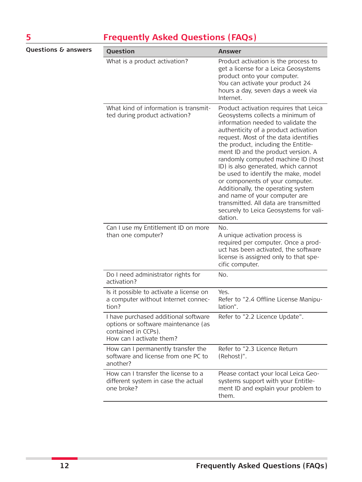# **5 Frequently Asked Questions (FAQs)**

<span id="page-11-0"></span>

| 5                              | <b>Frequently Asked Questions (FAQs)</b>                                                                                       |                                                                                                                                                                                                                                                                                                                                                                                                                                                                                                                                                                                                           |  |  |
|--------------------------------|--------------------------------------------------------------------------------------------------------------------------------|-----------------------------------------------------------------------------------------------------------------------------------------------------------------------------------------------------------------------------------------------------------------------------------------------------------------------------------------------------------------------------------------------------------------------------------------------------------------------------------------------------------------------------------------------------------------------------------------------------------|--|--|
| <b>Questions &amp; answers</b> | Question                                                                                                                       | <b>Answer</b>                                                                                                                                                                                                                                                                                                                                                                                                                                                                                                                                                                                             |  |  |
|                                | What is a product activation?                                                                                                  | Product activation is the process to<br>get a license for a Leica Geosystems<br>product onto your computer.<br>You can activate your product 24<br>hours a day, seven days a week via<br>Internet.                                                                                                                                                                                                                                                                                                                                                                                                        |  |  |
|                                | What kind of information is transmit-<br>ted during product activation?                                                        | Product activation requires that Leica<br>Geosystems collects a minimum of<br>information needed to validate the<br>authenticity of a product activation<br>request. Most of the data identifies<br>the product, including the Entitle-<br>ment ID and the product version. A<br>randomly computed machine ID (host<br>ID) is also generated, which cannot<br>be used to identify the make, model<br>or components of your computer.<br>Additionally, the operating system<br>and name of your computer are<br>transmitted. All data are transmitted<br>securely to Leica Geosystems for vali-<br>dation. |  |  |
|                                | Can I use my Entitlement ID on more<br>than one computer?                                                                      | No.<br>A unique activation process is<br>required per computer. Once a prod-<br>uct has been activated, the software<br>license is assigned only to that spe-<br>cific computer.                                                                                                                                                                                                                                                                                                                                                                                                                          |  |  |
|                                | Do I need administrator rights for<br>activation?                                                                              | No.                                                                                                                                                                                                                                                                                                                                                                                                                                                                                                                                                                                                       |  |  |
|                                | Is it possible to activate a license on<br>a computer without Internet connec-<br>tion?                                        | Yes.<br>Refer to "2.4 Offline License Manipu-<br>lation".                                                                                                                                                                                                                                                                                                                                                                                                                                                                                                                                                 |  |  |
|                                | I have purchased additional software<br>options or software maintenance (as<br>contained in CCPs).<br>How can I activate them? | Refer to "2.2 Licence Update".                                                                                                                                                                                                                                                                                                                                                                                                                                                                                                                                                                            |  |  |
|                                | How can I permanently transfer the<br>software and license from one PC to<br>another?                                          | Refer to "2.3 Licence Return<br>(Rehost)".                                                                                                                                                                                                                                                                                                                                                                                                                                                                                                                                                                |  |  |
|                                | How can I transfer the license to a<br>different system in case the actual<br>one broke?                                       | Please contact your local Leica Geo-<br>systems support with your Entitle-<br>ment ID and explain your problem to<br>them.                                                                                                                                                                                                                                                                                                                                                                                                                                                                                |  |  |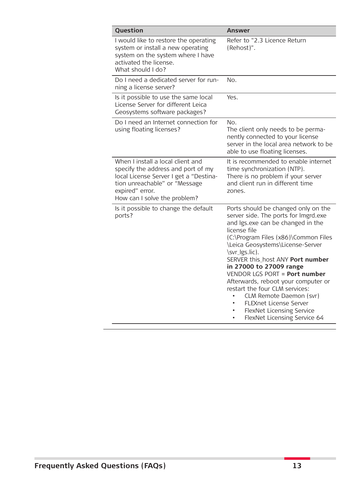| Question                                                                                                                                                                                              | Answer                                                                                                                                                                                                                                                                                                                                                                                                                                                                                                                    |
|-------------------------------------------------------------------------------------------------------------------------------------------------------------------------------------------------------|---------------------------------------------------------------------------------------------------------------------------------------------------------------------------------------------------------------------------------------------------------------------------------------------------------------------------------------------------------------------------------------------------------------------------------------------------------------------------------------------------------------------------|
| I would like to restore the operating<br>system or install a new operating<br>system on the system where I have<br>activated the license.<br>What should I do?                                        | Refer to "2.3 Licence Return<br>(Rehost)".                                                                                                                                                                                                                                                                                                                                                                                                                                                                                |
| Do I need a dedicated server for run-<br>ning a license server?                                                                                                                                       | No.                                                                                                                                                                                                                                                                                                                                                                                                                                                                                                                       |
| Is it possible to use the same local<br>License Server for different Leica<br>Geosystems software packages?                                                                                           | Yes.                                                                                                                                                                                                                                                                                                                                                                                                                                                                                                                      |
| Do I need an Internet connection for<br>using floating licenses?                                                                                                                                      | No.<br>The client only needs to be perma-<br>nently connected to your license<br>server in the local area network to be<br>able to use floating licenses.                                                                                                                                                                                                                                                                                                                                                                 |
| When I install a local client and<br>specify the address and port of my<br>local License Server I get a "Destina-<br>tion unreachable" or "Message<br>expired" error.<br>How can I solve the problem? | It is recommended to enable internet<br>time synchronization (NTP).<br>There is no problem if your server<br>and client run in different time<br>zones.                                                                                                                                                                                                                                                                                                                                                                   |
| Is it possible to change the default<br>ports?                                                                                                                                                        | Ports should be changed only on the<br>server side. The ports for Imgrd.exe<br>and Igs.exe can be changed in the<br>license file<br>(C:\Program Files (x86)\Common Files<br>\Leica Geosystems\License-Server<br>\svr_lgs.lic).<br>SERVER this_host ANY Port number<br>in 27000 to 27009 range<br>VENDOR LGS PORT = Port number<br>Afterwards, reboot your computer or<br>restart the four CLM services:<br>CLM Remote Daemon (svr)<br>FLEXnet License Server<br>FlexNet Licensing Service<br>FlexNet Licensing Service 64 |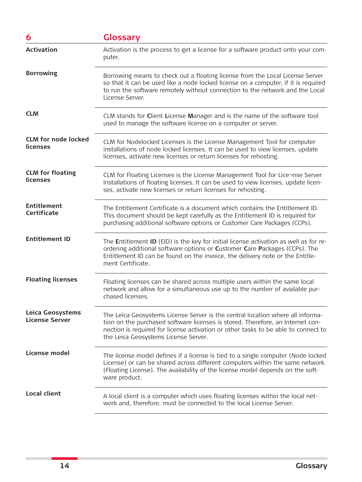<span id="page-13-0"></span>

| 6                                         | <b>Glossary</b>                                                                                                                                                                                                                                                                                |
|-------------------------------------------|------------------------------------------------------------------------------------------------------------------------------------------------------------------------------------------------------------------------------------------------------------------------------------------------|
| <b>Activation</b>                         | Activation is the process to get a license for a software product onto your com-<br>puter.                                                                                                                                                                                                     |
| <b>Borrowing</b>                          | Borrowing means to check out a floating license from the Local License Server<br>so that it can be used like a node locked license on a computer, if it is required<br>to run the software remotely without connection to the network and the Local<br>License Server.                         |
| <b>CLM</b>                                | CLM stands for Client License Manager and is the name of the software tool<br>used to manage the software license on a computer or server.                                                                                                                                                     |
| <b>CLM</b> for node locked<br>licenses    | CLM for Nodelocked Licenses is the License Management Tool for computer<br>installations of node locked licenses. It can be used to view licenses, update<br>licenses, activate new licenses or return licenses for rehosting.                                                                 |
| <b>CLM</b> for floating<br>licenses       | CLM for Floating Licenses is the License Management Tool for Lice¬nse Server<br>Installations of floating licenses. It can be used to view licenses, update licen-<br>ses, activate new licenses or return licenses for rehosting.                                                             |
| <b>Entitlement</b><br><b>Certificate</b>  | The Entitlement Certificate is a document which contains the Entitlement ID.<br>This document should be kept carefully as the Entitlement ID is required for<br>purchasing additional software options or Customer Care Packages (CCPs).                                                       |
| <b>Entitlement ID</b>                     | The <b>Entitlement ID</b> (EID) is the key for initial license activation as well as for re-<br>ordering additional software options or Customer Care Packages (CCPs). The<br>Entitlement ID can be found on the invoice, the delivery note or the Entitle-<br>ment Certificate.               |
| <b>Floating licenses</b>                  | Floating licenses can be shared across multiple users within the same local<br>network and allow for a simultaneous use up to the number of available pur-<br>chased licenses.                                                                                                                 |
| Leica Geosystems<br><b>License Server</b> | The Leica Geosystems License Server is the central location where all informa-<br>tion on the purchased software licenses is stored. Therefore, an Internet con-<br>nection is required for license activation or other tasks to be able to connect to<br>the Leica Geosystems License Server. |
| License model                             | The license model defines if a license is tied to a single computer (Node locked<br>License) or can be shared across different computers within the same network<br>(Floating License). The availability of the license model depends on the soft-<br>ware product.                            |
| <b>Local client</b>                       | A local client is a computer which uses floating licenses within the local net-<br>work and, therefore, must be connected to the local License Server.                                                                                                                                         |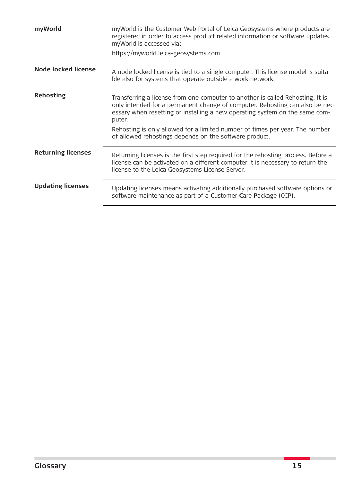<span id="page-14-0"></span>

| myWorld                   | myWorld is the Customer Web Portal of Leica Geosystems where products are<br>registered in order to access product related information or software updates.<br>myWorld is accessed via:<br>https://myworld.leica-geosystems.com                         |
|---------------------------|---------------------------------------------------------------------------------------------------------------------------------------------------------------------------------------------------------------------------------------------------------|
| Node locked license       | A node locked license is tied to a single computer. This license model is suita-<br>ble also for systems that operate outside a work network.                                                                                                           |
| <b>Rehosting</b>          | Transferring a license from one computer to another is called Rehosting. It is<br>only intended for a permanent change of computer. Rehosting can also be nec-<br>essary when resetting or installing a new operating system on the same com-<br>puter. |
|                           | Rehosting is only allowed for a limited number of times per year. The number<br>of allowed rehostings depends on the software product.                                                                                                                  |
| <b>Returning licenses</b> | Returning licenses is the first step required for the rehosting process. Before a<br>license can be activated on a different computer it is necessary to return the<br>license to the Leica Geosystems License Server.                                  |
| <b>Updating licenses</b>  | Updating licenses means activating additionally purchased software options or<br>software maintenance as part of a Customer Care Package (CCP).                                                                                                         |